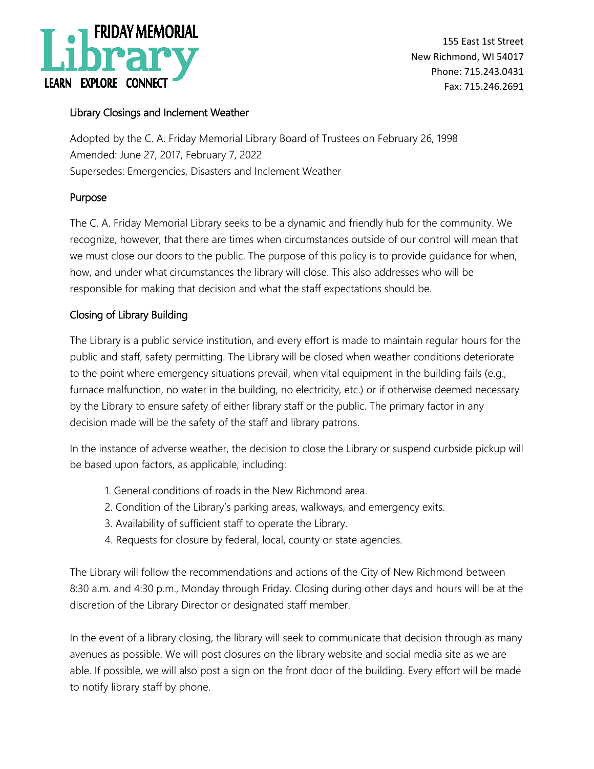

155 East 1st Street New Richmond, WI 54017 Phone: 715.243.0431 Fax: 715.246.2691

## Library Closings and Inclement Weather

Adopted by the C. A. Friday Memorial Library Board of Trustees on February 26, 1998 Amended: June 27, 2017, February 7, 2022 Supersedes: Emergencies, Disasters and Inclement Weather

### Purpose

The C. A. Friday Memorial Library seeks to be a dynamic and friendly hub for the community. We recognize, however, that there are times when circumstances outside of our control will mean that we must close our doors to the public. The purpose of this policy is to provide guidance for when, how, and under what circumstances the library will close. This also addresses who will be responsible for making that decision and what the staff expectations should be.

## Closing of Library Building

The Library is a public service institution, and every effort is made to maintain regular hours for the public and staff, safety permitting. The Library will be closed when weather conditions deteriorate to the point where emergency situations prevail, when vital equipment in the building fails (e.g., furnace malfunction, no water in the building, no electricity, etc.) or if otherwise deemed necessary by the Library to ensure safety of either library staff or the public. The primary factor in any decision made will be the safety of the staff and library patrons.

In the instance of adverse weather, the decision to close the Library or suspend curbside pickup will be based upon factors, as applicable, including:

- 1. General conditions of roads in the New Richmond area.
- 2. Condition of the Library's parking areas, walkways, and emergency exits.
- 3. Availability of sufficient staff to operate the Library.
- 4. Requests for closure by federal, local, county or state agencies.

The Library will follow the recommendations and actions of the City of New Richmond between 8:30 a.m. and 4:30 p.m., Monday through Friday. Closing during other days and hours will be at the discretion of the Library Director or designated staff member.

In the event of a library closing, the library will seek to communicate that decision through as many avenues as possible. We will post closures on the library website and social media site as we are able. If possible, we will also post a sign on the front door of the building. Every effort will be made to notify library staff by phone.